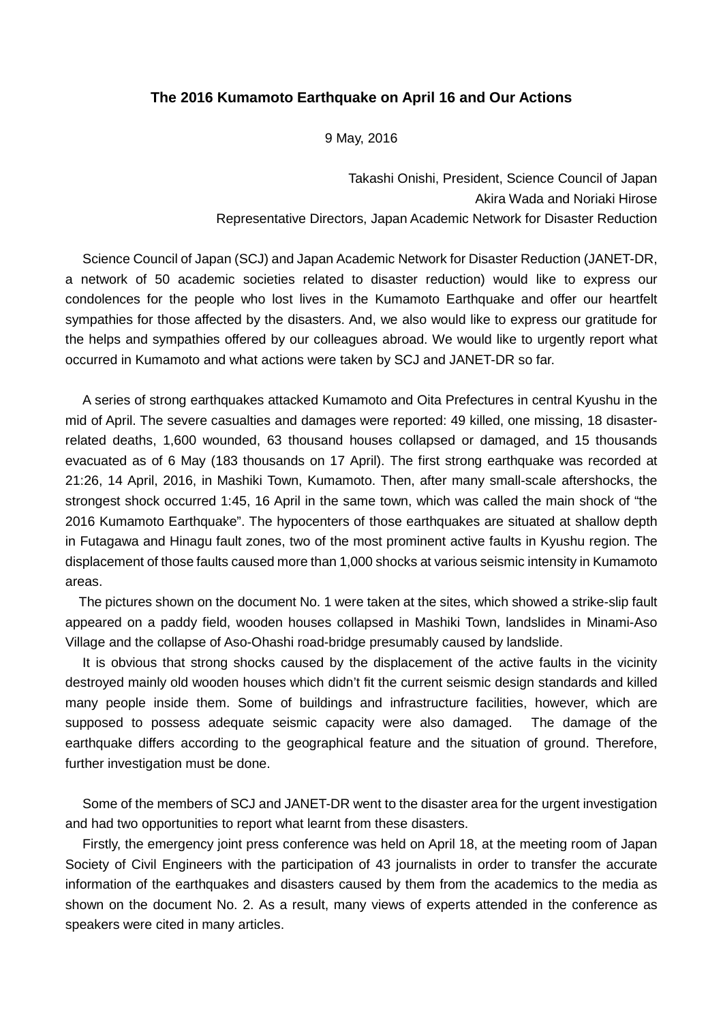## **The 2016 Kumamoto Earthquake on April 16 and Our Actions**

9 May, 2016

Takashi Onishi, President, Science Council of Japan Akira Wada and Noriaki Hirose Representative Directors, Japan Academic Network for Disaster Reduction

Science Council of Japan (SCJ) and Japan Academic Network for Disaster Reduction (JANET-DR, a network of 50 academic societies related to disaster reduction) would like to express our condolences for the people who lost lives in the Kumamoto Earthquake and offer our heartfelt sympathies for those affected by the disasters. And, we also would like to express our gratitude for the helps and sympathies offered by our colleagues abroad. We would like to urgently report what occurred in Kumamoto and what actions were taken by SCJ and JANET-DR so far.

A series of strong earthquakes attacked Kumamoto and Oita Prefectures in central Kyushu in the mid of April. The severe casualties and damages were reported: 49 killed, one missing, 18 disasterrelated deaths, 1,600 wounded, 63 thousand houses collapsed or damaged, and 15 thousands evacuated as of 6 May (183 thousands on 17 April). The first strong earthquake was recorded at 21:26, 14 April, 2016, in Mashiki Town, Kumamoto. Then, after many small-scale aftershocks, the strongest shock occurred 1:45, 16 April in the same town, which was called the main shock of "the 2016 Kumamoto Earthquake". The hypocenters of those earthquakes are situated at shallow depth in Futagawa and Hinagu fault zones, two of the most prominent active faults in Kyushu region. The displacement of those faults caused more than 1,000 shocks at various seismic intensity in Kumamoto areas.

The pictures shown on the document No. 1 were taken at the sites, which showed a strike-slip fault appeared on a paddy field, wooden houses collapsed in Mashiki Town, landslides in Minami-Aso Village and the collapse of Aso-Ohashi road-bridge presumably caused by landslide.

It is obvious that strong shocks caused by the displacement of the active faults in the vicinity destroyed mainly old wooden houses which didn't fit the current seismic design standards and killed many people inside them. Some of buildings and infrastructure facilities, however, which are supposed to possess adequate seismic capacity were also damaged. The damage of the earthquake differs according to the geographical feature and the situation of ground. Therefore, further investigation must be done.

Some of the members of SCJ and JANET-DR went to the disaster area for the urgent investigation and had two opportunities to report what learnt from these disasters.

Firstly, the emergency joint press conference was held on April 18, at the meeting room of Japan Society of Civil Engineers with the participation of 43 journalists in order to transfer the accurate information of the earthquakes and disasters caused by them from the academics to the media as shown on the document No. 2. As a result, many views of experts attended in the conference as speakers were cited in many articles.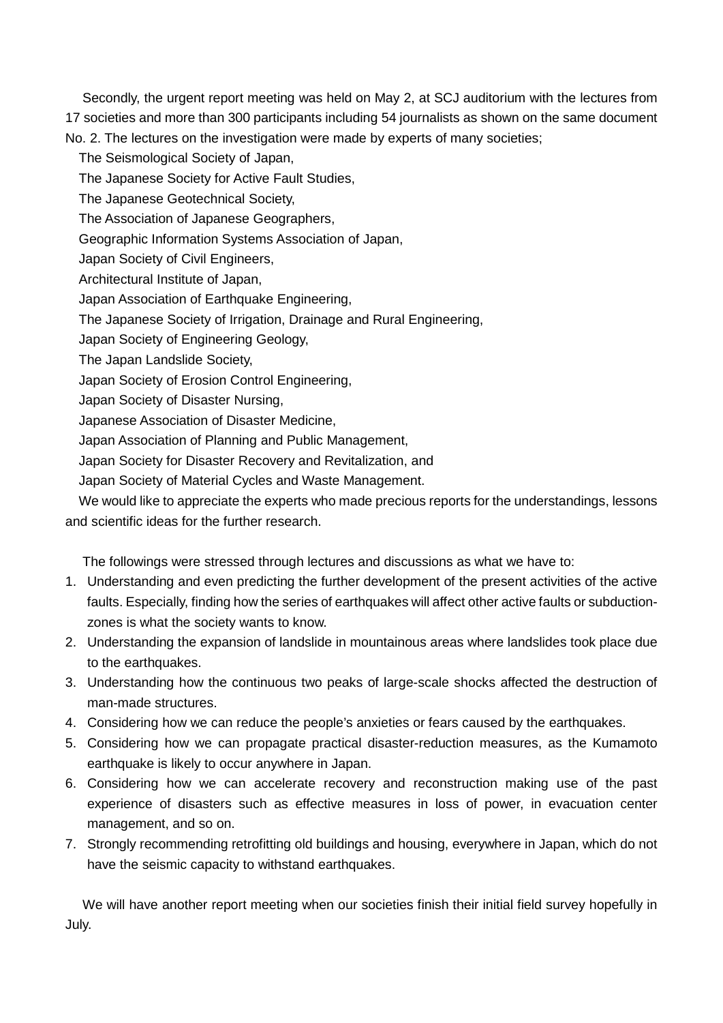Secondly, the urgent report meeting was held on May 2, at SCJ auditorium with the lectures from 17 societies and more than 300 participants including 54 journalists as shown on the same document No. 2. The lectures on the investigation were made by experts of many societies;

- The Seismological Society of Japan,
- The Japanese Society for Active Fault Studies,
- The Japanese Geotechnical Society,
- The Association of Japanese Geographers,
- Geographic Information Systems Association of Japan,
- Japan Society of Civil Engineers,
- Architectural Institute of Japan,
- Japan Association of Earthquake Engineering,
- The Japanese Society of Irrigation, Drainage and Rural Engineering,
- Japan Society of Engineering Geology,
- The Japan Landslide Society,
- Japan Society of Erosion Control Engineering,
- Japan Society of Disaster Nursing,
- Japanese Association of Disaster Medicine,
- Japan Association of Planning and Public Management,
- Japan Society for Disaster Recovery and Revitalization, and
- Japan Society of Material Cycles and Waste Management.

We would like to appreciate the experts who made precious reports for the understandings, lessons and scientific ideas for the further research.

The followings were stressed through lectures and discussions as what we have to:

- 1. Understanding and even predicting the further development of the present activities of the active faults. Especially, finding how the series of earthquakes will affect other active faults or subductionzones is what the society wants to know.
- 2. Understanding the expansion of landslide in mountainous areas where landslides took place due to the earthquakes.
- 3. Understanding how the continuous two peaks of large-scale shocks affected the destruction of man-made structures.
- 4. Considering how we can reduce the people's anxieties or fears caused by the earthquakes.
- 5. Considering how we can propagate practical disaster-reduction measures, as the Kumamoto earthquake is likely to occur anywhere in Japan.
- 6. Considering how we can accelerate recovery and reconstruction making use of the past experience of disasters such as effective measures in loss of power, in evacuation center management, and so on.
- 7. Strongly recommending retrofitting old buildings and housing, everywhere in Japan, which do not have the seismic capacity to withstand earthquakes.

We will have another report meeting when our societies finish their initial field survey hopefully in July.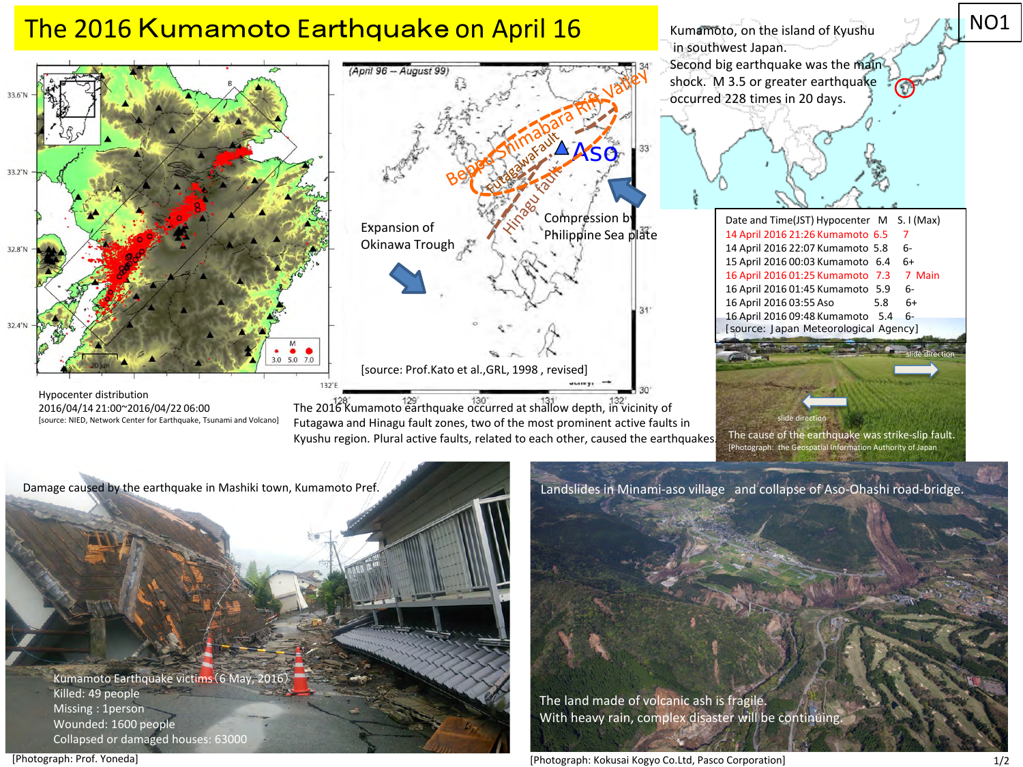

[source: NIED, Network Center for Earthquake, Tsunami and Volcano]

Futagawa and Hinagu fault zones, two of the most prominent active faults in Kyushu region. Plural active faults, related to each other, caused the earthquakes.

Damage caused by the earthquake in Mashiki town, Kumamoto Pref. Mashimoto and Landslides in Minami-aso village and collapse of Aso-Ohashi road-bridge.

Kumamoto Earthquake victims(6 May, 2016) Killed: 49 people Missing : 1person Wounded: 1600 people Collapsed or damaged houses: 63000

With heavy rain, complex disaster will be continuing.

The land made of volcanic ash is fragile.

The cause of the earthquake was strike-slip fault. [Photograph: the Geospatial Information Authority of Japan